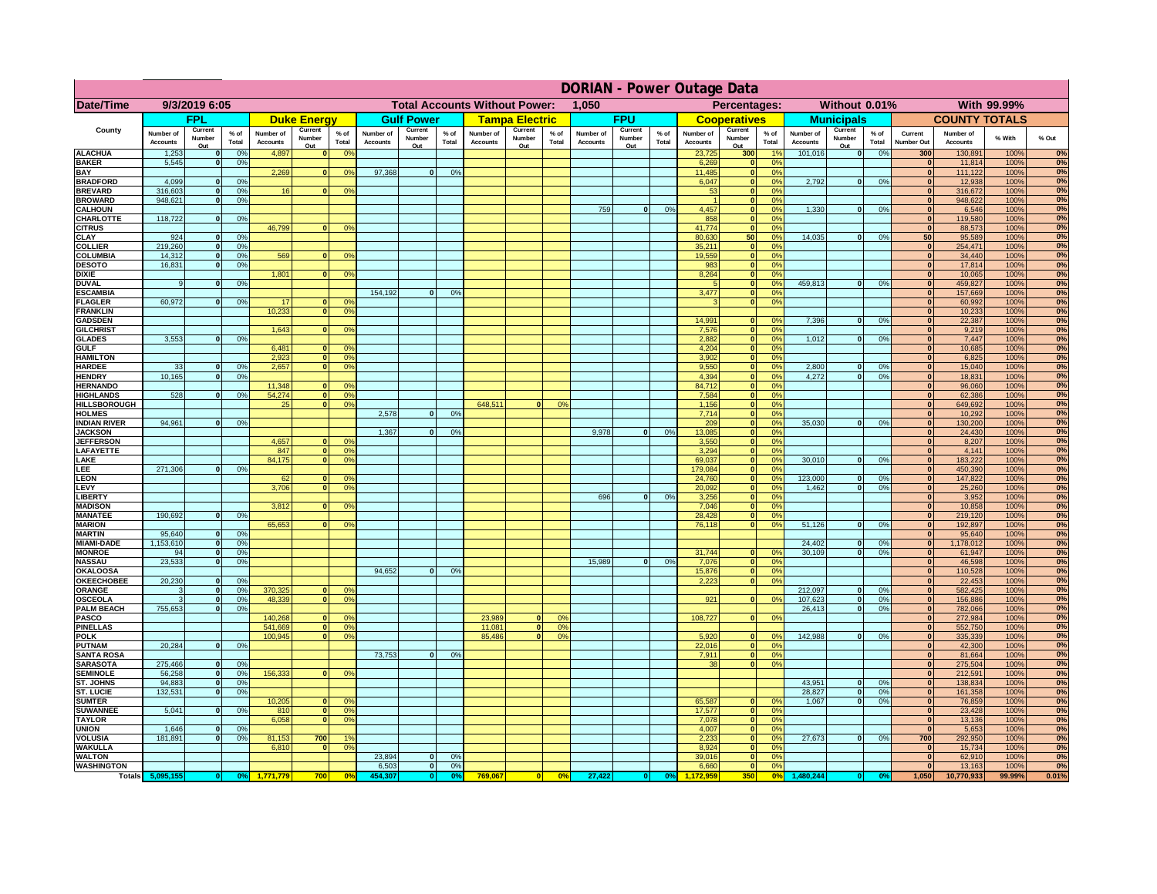|                                      | <b>DORIAN - Power Outage Data</b> |                          |               |                              |                          |                                               |                              |                          |                 |                              |                                              |                                  |                              |                          |                 |                              |                                |                       |                              |                          |                 |                              |                              |              |          |
|--------------------------------------|-----------------------------------|--------------------------|---------------|------------------------------|--------------------------|-----------------------------------------------|------------------------------|--------------------------|-----------------|------------------------------|----------------------------------------------|----------------------------------|------------------------------|--------------------------|-----------------|------------------------------|--------------------------------|-----------------------|------------------------------|--------------------------|-----------------|------------------------------|------------------------------|--------------|----------|
| <b>Date/Time</b>                     | 9/3/2019 6:05                     |                          |               |                              |                          | <b>Total Accounts Without Power:</b><br>1,050 |                              |                          |                 |                              | Without 0.01%<br>With 99.99%<br>Percentages: |                                  |                              |                          |                 |                              |                                |                       |                              |                          |                 |                              |                              |              |          |
|                                      |                                   | FPL                      |               |                              | <b>Duke Energy</b>       |                                               |                              | <b>Gulf Power</b>        |                 |                              | <b>Tampa Electric</b>                        |                                  |                              | <b>FPU</b>               |                 |                              | <b>Cooperatives</b>            |                       |                              | <b>Municipals</b>        |                 |                              | <b>COUNTY TOTALS</b>         |              |          |
| County                               | Number of<br><b>Accounts</b>      | Current<br>Number<br>Out | % of<br>Total | Number of<br><b>Accounts</b> | Current<br>Number<br>Out | $%$ of<br>Total                               | Number of<br><b>Accounts</b> | Current<br>Number<br>Out | $%$ of<br>Total | Number of<br><b>Accounts</b> | Current<br>Number<br>Out                     | % of<br>Total                    | Number of<br><b>Accounts</b> | Current<br>Number<br>Out | $%$ of<br>Total | Number of<br><b>Accounts</b> | Current<br>Number<br>Out       | $%$ of<br>Total       | Number of<br><b>Accounts</b> | Current<br>Number<br>Out | $%$ of<br>Total | Current<br>Number Out        | Number of<br><b>Accounts</b> | % With       | % Out    |
| <b>ALACHUA</b>                       | 1,253                             | $\mathbf{0}$             | 0%            | 4,897                        | $\Omega$                 | 0%                                            |                              |                          |                 |                              |                                              |                                  |                              |                          |                 | 23,725                       | 300                            | 1 <sup>°</sup>        | 101,016                      | 0                        | 0%              | 300                          | 130,891                      | 100%         | 0%       |
| <b>BAKER</b><br>BAY                  | 5,545                             | $\mathbf{0}$             | 0%            | 2,269                        | $\mathbf{0}$             | 0%                                            | 97,368                       | 0                        | 0%              |                              |                                              |                                  |                              |                          |                 | 6,269<br>11.485              | 0 <br> 0                       | 0%<br>0%              |                              |                          |                 | $\mathbf{0}$<br>$\mathbf{0}$ | 11,814<br>111,122            | 100%<br>100% | 0%<br>0% |
| <b>BRADFORD</b>                      | 4,099                             | $\Omega$                 | 0%            |                              |                          |                                               |                              |                          |                 |                              |                                              |                                  |                              |                          |                 | 6,047                        | 0                              | 0%                    | 2,792                        | 0                        | 0%              | $\mathbf{0}$                 | 12,938                       | 100%         | 0%       |
| <b>BREVARD</b>                       | 316,603                           | $\Omega$                 | 0%            | 16                           | $\mathbf{0}$             | 0 <sup>9</sup>                                |                              |                          |                 |                              |                                              |                                  |                              |                          |                 | 53                           | $\mathbf{0}$                   | 0%                    |                              |                          |                 | $\bf{0}$                     | 316,672                      | 100%         | 0%       |
| <b>BROWARD</b>                       | 948,621                           | $\Omega$                 | 0%            |                              |                          |                                               |                              |                          |                 |                              |                                              |                                  |                              |                          |                 |                              | $\mathbf{0}$                   | 0%                    |                              | -ol                      |                 | $\mathbf{0}$                 | 948,622                      | 100%         | 0%       |
| <b>CALHOUN</b><br>CHARLOTTE          | 118,722                           | $\mathbf{0}$             | 0%            |                              |                          |                                               |                              |                          |                 |                              |                                              |                                  | 759                          | 0                        | 0%              | 4,457<br>858                 | $\bf{0}$<br>$\mathbf{0}$       | 0%<br>0%              | 1,330                        |                          | 0%              | $\mathbf{0}$<br>$\mathbf{0}$ | 6,546<br>119,580             | 100%<br>100% | 0%<br>0% |
| <b>CITRUS</b>                        |                                   |                          |               | 46,799                       |                          | 0 <sup>9</sup>                                |                              |                          |                 |                              |                                              |                                  |                              |                          |                 | 41,774                       | 0                              | 0%                    |                              |                          |                 | $\mathbf{0}$                 | 88,573                       | 100%         | 0%       |
| <b>CLAY</b>                          | 924                               | $\mathbf{0}$             | 0%            |                              |                          |                                               |                              |                          |                 |                              |                                              |                                  |                              |                          |                 | 80,630                       | 50                             | 0%                    | 14,035                       | 0                        | 0%              | 50                           | 95,589                       | 100%         | 0%       |
| <b>COLLIER</b><br><b>COLUMBIA</b>    | 219,260<br>14,312                 | 0 <br> 0                 | 0%<br>0%      | 569                          | $\Omega$                 | 0%                                            |                              |                          |                 |                              |                                              |                                  |                              |                          |                 | 35,211<br>19,559             | 0 <br> 0                       | 0%<br>0%              |                              |                          |                 | $\mathbf{0}$<br> 0           | 254,471<br>34,440            | 100%<br>100% | 0%<br>0% |
| <b>DESOTO</b>                        | 16,831                            | $\mathbf{0}$             | 0%            |                              |                          |                                               |                              |                          |                 |                              |                                              |                                  |                              |                          |                 | 983                          | 0                              | 0%                    |                              |                          |                 | 0                            | 17,814                       | 100%         | 0%       |
| <b>DIXIE</b>                         |                                   |                          |               | 1,801                        | $\Omega$                 | 0%                                            |                              |                          |                 |                              |                                              |                                  |                              |                          |                 | 8,264                        | $\overline{\bullet}$           | 0%                    |                              |                          |                 | 0                            | 10,065                       | 100%         | 0%       |
| <b>DUVAL</b><br><b>ESCAMBIA</b>      | 9                                 | $\mathbf{0}$             | 0%            |                              |                          |                                               | 154,192                      | 0                        | 0%              |                              |                                              |                                  |                              |                          |                 | $\sqrt{2}$<br>3,477          | 0 <br> 0                       | 0%<br>0%              | 459.813                      | $\overline{0}$           | 0%              | 0 <br> 0                     | 459,827<br>157,669           | 100%<br>100% | 0%       |
| <b>FLAGLER</b>                       | 60,972                            | 0                        | 0%            | 17                           | $\Omega$                 | 0 <sup>9</sup>                                |                              |                          |                 |                              |                                              |                                  |                              |                          |                 | $\mathbf{R}$                 | 0                              | 0%                    |                              |                          |                 | 0                            | 60,992                       | 100%         | 0%<br>0% |
| <b>FRANKLIN</b>                      |                                   |                          |               | 10,233                       | $\mathbf{0}$             | 0 <sup>9</sup>                                |                              |                          |                 |                              |                                              |                                  |                              |                          |                 |                              |                                |                       |                              |                          |                 | 0                            | 10,233                       | 100%         | 0%       |
| <b>GADSDEN</b>                       |                                   |                          |               |                              |                          |                                               |                              |                          |                 |                              |                                              |                                  |                              |                          |                 | 14,991                       | 0                              | 0%                    | 7,396                        | $\overline{0}$           | 0%              | 0                            | 22,387                       | 100%         | 0%       |
| <b>GILCHRIST</b><br><b>GLADES</b>    | 3,553                             | $\mathbf{0}$             | 0%            | 1,643                        | $\Omega$                 | 0 <sup>9</sup>                                |                              |                          |                 |                              |                                              |                                  |                              |                          |                 | 7,576<br>2,882               | 0 <br> 0                       | 0%<br>0%              | 1,012                        | $\overline{0}$           | 0%              | 0 <br>$\overline{0}$         | 9,219<br>7,447               | 100%<br>100% | 0%<br>0% |
| <b>GULF</b>                          |                                   |                          |               | 6,481                        | <sub>0</sub>             | 0 <sup>9</sup>                                |                              |                          |                 |                              |                                              |                                  |                              |                          |                 | 4,204                        | 0                              | 0%                    |                              |                          |                 | $\overline{0}$               | 10,685                       | 100%         | 0%       |
| <b>HAMILTON</b>                      |                                   |                          |               | 2,923                        | $\overline{0}$           | 0 <sup>9</sup>                                |                              |                          |                 |                              |                                              |                                  |                              |                          |                 | 3,902                        | 0                              | 0%                    |                              |                          |                 | 0                            | 6,825                        | 100%         | 0%       |
| <b>HARDEE</b>                        | 33<br>10,165                      | $\mathbf{0}$<br>$\Omega$ | 0%            | 2,657                        | $\mathbf{0}$             | 0 <sup>9</sup>                                |                              |                          |                 |                              |                                              |                                  |                              |                          |                 | 9.550                        | 0 <br> 0                       | 0%<br>0%              | 2.800<br>4,272               | $\mathbf{0}$<br>$\Omega$ | 0%<br>0%        | 0 <br> 0                     | 15,040                       | 100%         | 0%<br>0% |
| <b>HENDRY</b><br><b>HERNANDO</b>     |                                   |                          | 0%            | 11,348                       | $\mathbf{0}$             | 0 <sup>9</sup>                                |                              |                          |                 |                              |                                              |                                  |                              |                          |                 | 4,394<br>84,712              | 0                              | 0%                    |                              |                          |                 | 0                            | 18,831<br>96,060             | 100%<br>100% | 0%       |
| <b>HIGHLANDS</b>                     | 528                               | $\mathbf{0}$             | 0%            | 54,274                       | $\mathbf{0}$             | 0 <sup>9</sup>                                |                              |                          |                 |                              |                                              |                                  |                              |                          |                 | 7,584                        | 0                              | 0%                    |                              |                          |                 | 0                            | 62,386                       | 100%         | 0%       |
| <b>HILLSBOROUGH</b>                  |                                   |                          |               | 25                           | $\overline{0}$           | 0 <sup>9</sup>                                |                              |                          |                 | 648,511                      | $\Omega$                                     | 0%                               |                              |                          |                 | 1,156                        | 0                              | 0%                    |                              |                          |                 | 0                            | 649,692                      | 100%         | 0%       |
| <b>HOLMES</b><br><b>INDIAN RIVER</b> | 94.961                            |                          | 0%            |                              |                          |                                               | 2,578                        |                          | 0%              |                              |                                              |                                  |                              |                          |                 | 7,714<br>209                 | $\overline{0}$<br>$\mathbf{0}$ | 0%<br>0%              | 35,030                       | nl                       | 0%              | 0 <br> 0                     | 10,292<br>130,200            | 100%<br>100% | 0%<br>0% |
| <b>JACKSON</b>                       |                                   |                          |               |                              |                          |                                               | 1,367                        |                          | 0%              |                              |                                              |                                  | 9,978                        | $\Omega$                 | 0%              | 13,085                       | $\mathbf{0}$                   | 0%                    |                              |                          |                 | 0                            | 24,430                       | 100%         | 0%       |
| <b>JEFFERSON</b>                     |                                   |                          |               | 4,657                        | n١                       | 0 <sup>o</sup>                                |                              |                          |                 |                              |                                              |                                  |                              |                          |                 | 3,550                        | $\mathbf{0}$                   | 0%                    |                              |                          |                 | 0                            | 8,207                        | 100%         | 0%       |
| <b>LAFAYETTE</b>                     |                                   |                          |               | 847<br>84,175                | $\overline{0}$<br> 0     | 0 <sup>9</sup>                                |                              |                          |                 |                              |                                              |                                  |                              |                          |                 | 3,294                        | 0                              | 0%                    | 30,010                       | $\overline{0}$           | 0%              | 0 <br> 0                     | 4,141                        | 100%         | 0%       |
| LAKE<br>LEE                          | 271,306                           | $\Omega$                 | 0%            |                              |                          | 0%                                            |                              |                          |                 |                              |                                              |                                  |                              |                          |                 | 69,037<br>179,084            | 0 <br> 0                       | 0%<br>0%              |                              |                          |                 | 0                            | 183,222<br>450,390           | 100%<br>100% | 0%<br>0% |
| <b>LEON</b>                          |                                   |                          |               | 62                           | $\Omega$                 | 0 <sup>9</sup>                                |                              |                          |                 |                              |                                              |                                  |                              |                          |                 | 24,760                       | 0                              | 0%                    | 123,000                      | 0                        | 0%              | 0                            | 147,822                      | 100%         | 0%       |
| LEVY                                 |                                   |                          |               | 3,706                        | 0                        | 0 <sup>9</sup>                                |                              |                          |                 |                              |                                              |                                  |                              |                          |                 | 20,092                       | 0                              | 0%                    | 1,462                        | 0                        | 0%              | 0                            | 25,260                       | 100%         | 0%       |
| <b>LIBERTY</b><br><b>MADISON</b>     |                                   |                          |               | 3,812                        | $\Omega$                 | 0%                                            |                              |                          |                 |                              |                                              |                                  | 696                          | 0                        | 0%              | 3,256<br>7,046               | 0 <br> 0                       | 0%<br>0%              |                              |                          |                 | 0 <br> 0                     | 3,952<br>10,858              | 100%<br>100% | 0%<br>0% |
| <b>MANATEE</b>                       | 190,692                           | 0                        | 0%            |                              |                          |                                               |                              |                          |                 |                              |                                              |                                  |                              |                          |                 | 28,428                       | 0                              | 0%                    |                              |                          |                 | 0                            | 219,120                      | 100%         | 0%       |
| <b>MARION</b>                        |                                   |                          |               | 65,653                       | 0 <sup>1</sup>           | 0 <sup>9</sup>                                |                              |                          |                 |                              |                                              |                                  |                              |                          |                 | 76,118                       | 0                              | 0%                    | 51,126                       | -ol                      | 0%              | 0                            | 192,897                      | 100%         | 0%       |
| <b>MARTIN</b><br><b>MIAMI-DADE</b>   | 95,640<br>1,153,610               | 0                        | 0%<br>0%      |                              |                          |                                               |                              |                          |                 |                              |                                              |                                  |                              |                          |                 |                              |                                |                       | 24,402                       | 0                        | 0%              | 0 <br> 0                     | 95,640<br>1,178,012          | 100%<br>100% | 0%<br>0% |
| <b>MONROE</b>                        | 94                                | 0 <br>- Ol               | 0%            |                              |                          |                                               |                              |                          |                 |                              |                                              |                                  |                              |                          |                 | 31,744                       | 0                              | $\Omega$ <sup>o</sup> | 30,109                       | 0                        | 0%              | 0                            | 61,947                       | 100%         | 0%       |
| <b>NASSAU</b>                        | 23,533                            | - Ol                     | 0%            |                              |                          |                                               |                              |                          |                 |                              |                                              |                                  | 15,989                       | 0                        | 0%              | 7,076                        | 0                              | 0%                    |                              |                          |                 | 0                            | 46,598                       | 100%         | 0%       |
| <b>OKALOOSA</b>                      |                                   |                          |               |                              |                          |                                               | 94,652                       | 0                        | 0%              |                              |                                              |                                  |                              |                          |                 | 15,876                       | 0                              | 0%                    |                              |                          |                 | 0                            | 110,528                      | 100%         | 0%       |
| OKEECHOBEE<br>ORANGE                 | 20,230<br>3                       | 0 <br> 0                 | 0%<br>0%      | 370,325                      | $\Omega$                 | O <sup>9</sup>                                |                              |                          |                 |                              |                                              |                                  |                              |                          |                 | 2,223                        | 0                              | 0%                    | 212,097                      | 0                        | 0%              | 0 <br> 0                     | 22,453<br>582,425            | 100%<br>100% | 0%<br>0% |
| <b>OSCEOLA</b>                       | $\mathbf{3}$                      | 0                        | 0%            | 48,339                       | $\Omega$                 | 0 <sup>9</sup>                                |                              |                          |                 |                              |                                              |                                  |                              |                          |                 | 921                          | 0                              | 0%                    | 107,623                      | 0                        | 0%              | 0                            | 156,886                      | 100%         | 0%       |
| <b>PALM BEACH</b>                    | 755,653                           | 0                        | 0%            |                              |                          |                                               |                              |                          |                 |                              |                                              |                                  |                              |                          |                 |                              |                                |                       | 26,413                       | $\overline{0}$           | 0%              | 0                            | 782,066                      | 100%         | 0%       |
| <b>PASCO</b><br><b>PINELLAS</b>      |                                   |                          |               | 140,268<br>541,669           | $\Omega$<br> 0           | 0 <sup>o</sup><br>0 <sup>9</sup>              |                              |                          |                 | 23,989<br>11,081             | $\Omega$<br> 0                               | 0 <sup>o</sup><br>0 <sup>o</sup> |                              |                          |                 | 108,727                      | 0                              | 0%                    |                              |                          |                 | 0 <br> 0                     | 272,984<br>552,750           | 100%<br>100% | 0%<br>0% |
| <b>POLK</b>                          |                                   |                          |               | 100,945                      | 0                        | 0 <sup>9</sup>                                |                              |                          |                 | 85,486                       | $\Omega$                                     | 0 <sup>9</sup>                   |                              |                          |                 | 5,920                        | 0                              | $\Omega$ <sup>o</sup> | 142,988                      | 0                        | 0%              | 0                            | 335,339                      | 100%         | 0%       |
| <b>PUTNAM</b>                        | 20,284                            | $\mathbf{0}$             | 0%            |                              |                          |                                               |                              |                          |                 |                              |                                              |                                  |                              |                          |                 | 22,016                       | 0                              | 0%                    |                              |                          |                 | $\mathbf{0}$                 | 42,300                       | 100%         | 0%       |
| <b>SANTA ROSA</b>                    |                                   | $\mathbf{0}$             |               |                              |                          |                                               | 73,753                       | $\mathbf{0}$             | 0%              |                              |                                              |                                  |                              |                          |                 | 7,911                        | 0                              | 0%                    |                              |                          |                 | $\mathbf{0}$<br>$\mathbf{0}$ | 81,664                       | 100%         | 0%       |
| <b>SARASOTA</b><br><b>SEMINOLE</b>   | 275,466<br>56,258                 | $\mathbf{0}$             | 0%<br>0%      | 156,333                      | $\mathbf{0}$             | 0 <sup>9</sup>                                |                              |                          |                 |                              |                                              |                                  |                              |                          |                 | 38                           | 0                              | 0%                    |                              |                          |                 | 0                            | 275,504<br>212,591           | 100%<br>100% | 0%<br>0% |
| ST. JOHNS                            | 94,883                            | $\mathbf{0}$             | 0%            |                              |                          |                                               |                              |                          |                 |                              |                                              |                                  |                              |                          |                 |                              |                                |                       | 43,951                       | 0                        | 0%              | 0                            | 138,834                      | 100%         | 0%       |
| <b>ST. LUCIE</b>                     | 132,531                           | $\mathbf{0}$             | 0%            |                              |                          |                                               |                              |                          |                 |                              |                                              |                                  |                              |                          |                 |                              |                                |                       | 28,827                       | 0                        | 0%              | $\mathbf{0}$                 | 161,358                      | 100%         | 0%       |
| <b>SUMTER</b><br><b>SUWANNEE</b>     | 5,041                             | $\mathbf{0}$             | 0%            | 10,205<br>810                | $\mathbf{0}$             | 0 <sup>9</sup><br>0 <sup>9</sup>              |                              |                          |                 |                              |                                              |                                  |                              |                          |                 | 65,587<br>17,577             | $\mathbf{0}$<br> 0             | 0%<br>0%              | 1,067                        | $\overline{0}$           | 0%              | $\mathbf{0}$<br>$\mathbf{0}$ | 76,859<br>23,428             | 100%<br>100% | 0%<br>0% |
| <b>TAYLOR</b>                        |                                   |                          |               | 6,058                        | 0                        | 0 <sup>9</sup>                                |                              |                          |                 |                              |                                              |                                  |                              |                          |                 | 7,078                        | 0                              | 0%                    |                              |                          |                 | $\mathbf{0}$                 | 13,136                       | 100%         | 0%       |
| <b>UNION</b>                         | 1,646                             |                          | 0%            |                              |                          |                                               |                              |                          |                 |                              |                                              |                                  |                              |                          |                 | 4,007                        | 0                              | 0%                    |                              |                          |                 | $\mathbf{0}$                 | 5,653                        | 100%         | 0%       |
| <b>VOLUSIA</b><br><b>WAKULLA</b>     | 181,891                           |                          | 0%            | 81,153<br>6,810              | 700<br>$\mathbf{0}$      | 1 <sup>9</sup><br>0 <sup>9</sup>              |                              |                          |                 |                              |                                              |                                  |                              |                          |                 | 2,233<br>8,924               | 0 <br> 0                       | 0%<br>0%              | 27,673                       | $\overline{0}$           | 0%              | 700<br>$\mathbf{0}$          | 292,950<br>15,734            | 100%<br>100% | 0%       |
| <b>WALTON</b>                        |                                   |                          |               |                              |                          |                                               | 23,894                       | 0                        | 0%              |                              |                                              |                                  |                              |                          |                 | 39,016                       | 0                              | 0%                    |                              |                          |                 | $\mathbf{0}$                 | 62,910                       | 100%         | 0%<br>0% |
| <b>WASHINGTON</b>                    |                                   |                          |               |                              |                          |                                               | 6,503                        | $\overline{\mathbf{0}}$  | 0%              |                              |                                              |                                  |                              |                          |                 | 6,660                        | $\overline{\mathbf{0}}$        | 0%                    |                              |                          |                 | 0                            | 13,163                       | 100%         | 0%       |
|                                      | Totals 5,095,155                  |                          | 0%<br>0       | 1,771,779                    | 700                      | 0 <sup>o</sup>                                | 454.307                      | 0                        | 0 <sup>o</sup>  | 769,067                      | 0                                            | 0%                               | 27,422                       |                          | 0%              | 1 172 959                    | 350                            | 0 <sup>9</sup>        | 1,480,244                    | $\mathbf{0}$             |                 | 1,050                        | 10,770,933                   | 99.99%       | 0.01%    |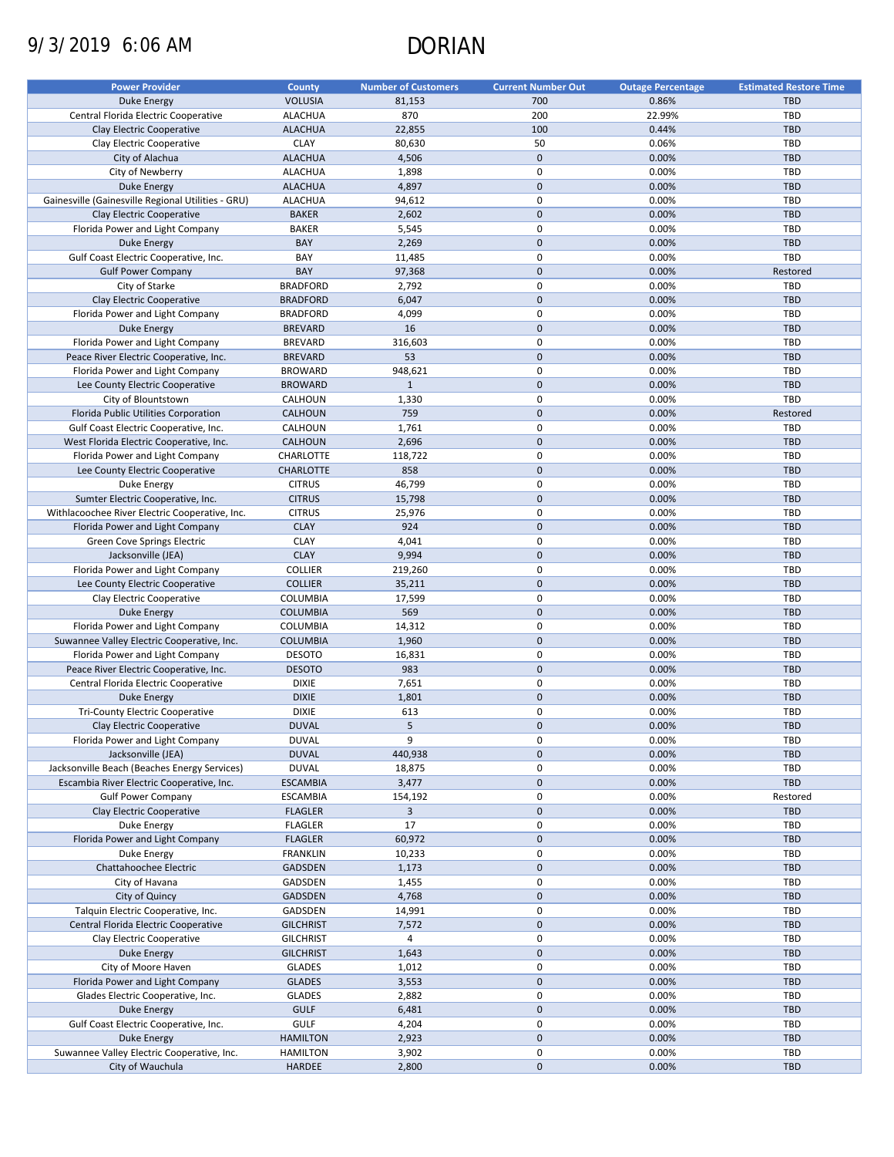## 9/3/2019 6:06 AM DORIAN

| <b>Power Provider</b>                              | <b>County</b>    | <b>Number of Customers</b> | <b>Current Number Out</b> | <b>Outage Percentage</b> | <b>Estimated Restore Time</b> |
|----------------------------------------------------|------------------|----------------------------|---------------------------|--------------------------|-------------------------------|
| <b>Duke Energy</b>                                 | <b>VOLUSIA</b>   | 81,153                     | 700                       | 0.86%                    | <b>TBD</b>                    |
| Central Florida Electric Cooperative               | <b>ALACHUA</b>   | 870                        | 200                       | 22.99%                   | <b>TBD</b>                    |
| Clay Electric Cooperative                          | <b>ALACHUA</b>   | 22,855                     | 100                       | 0.44%                    | TBD                           |
| Clay Electric Cooperative                          | <b>CLAY</b>      | 80,630                     | 50                        | 0.06%                    | <b>TBD</b>                    |
|                                                    |                  |                            |                           |                          |                               |
| City of Alachua                                    | <b>ALACHUA</b>   | 4,506                      | $\mathbf{0}$              | 0.00%                    | <b>TBD</b>                    |
| City of Newberry                                   | <b>ALACHUA</b>   | 1,898                      | $\pmb{0}$                 | 0.00%                    | <b>TBD</b>                    |
| Duke Energy                                        | <b>ALACHUA</b>   | 4,897                      | $\mathbf 0$               | 0.00%                    | <b>TBD</b>                    |
| Gainesville (Gainesville Regional Utilities - GRU) | ALACHUA          | 94,612                     | $\mathsf 0$               | 0.00%                    | <b>TBD</b>                    |
| Clay Electric Cooperative                          | <b>BAKER</b>     | 2,602                      | $\mathbf 0$               | 0.00%                    | <b>TBD</b>                    |
| Florida Power and Light Company                    | <b>BAKER</b>     | 5,545                      | 0                         | 0.00%                    | <b>TBD</b>                    |
| Duke Energy                                        | BAY              | 2,269                      | $\mathbf 0$               | 0.00%                    | <b>TBD</b>                    |
| Gulf Coast Electric Cooperative, Inc.              | BAY              | 11,485                     | $\mathsf 0$               | 0.00%                    | TBD                           |
| <b>Gulf Power Company</b>                          | BAY              | 97,368                     | $\mathbf 0$               | 0.00%                    | Restored                      |
|                                                    |                  |                            |                           |                          |                               |
| City of Starke                                     | <b>BRADFORD</b>  | 2,792                      | $\pmb{0}$                 | 0.00%                    | TBD                           |
| Clay Electric Cooperative                          | <b>BRADFORD</b>  | 6,047                      | $\mathbf 0$               | 0.00%                    | <b>TBD</b>                    |
| Florida Power and Light Company                    | <b>BRADFORD</b>  | 4,099                      | $\mathsf 0$               | 0.00%                    | TBD                           |
| <b>Duke Energy</b>                                 | <b>BREVARD</b>   | 16                         | $\mathbf 0$               | 0.00%                    | <b>TBD</b>                    |
| Florida Power and Light Company                    | <b>BREVARD</b>   | 316,603                    | $\mathsf 0$               | 0.00%                    | <b>TBD</b>                    |
| Peace River Electric Cooperative, Inc.             | <b>BREVARD</b>   | 53                         | $\mathbf 0$               | 0.00%                    | <b>TBD</b>                    |
| Florida Power and Light Company                    | <b>BROWARD</b>   | 948,621                    | 0                         | 0.00%                    | <b>TBD</b>                    |
| Lee County Electric Cooperative                    | <b>BROWARD</b>   | $\mathbf{1}$               | $\mathbf 0$               | 0.00%                    | <b>TBD</b>                    |
|                                                    |                  |                            | $\mathsf 0$               |                          | TBD                           |
| City of Blountstown                                | CALHOUN          | 1,330                      |                           | 0.00%                    |                               |
| Florida Public Utilities Corporation               | <b>CALHOUN</b>   | 759                        | $\mathbf 0$               | 0.00%                    | Restored                      |
| Gulf Coast Electric Cooperative, Inc.              | CALHOUN          | 1,761                      | $\mathsf 0$               | 0.00%                    | TBD                           |
| West Florida Electric Cooperative, Inc.            | <b>CALHOUN</b>   | 2,696                      | $\mathbf 0$               | 0.00%                    | <b>TBD</b>                    |
| Florida Power and Light Company                    | CHARLOTTE        | 118,722                    | $\mathsf 0$               | 0.00%                    | <b>TBD</b>                    |
| Lee County Electric Cooperative                    | <b>CHARLOTTE</b> | 858                        | $\mathbf 0$               | 0.00%                    | <b>TBD</b>                    |
| Duke Energy                                        | <b>CITRUS</b>    | 46,799                     | 0                         | 0.00%                    | TBD                           |
| Sumter Electric Cooperative, Inc.                  | <b>CITRUS</b>    | 15,798                     | $\mathbf 0$               | 0.00%                    | <b>TBD</b>                    |
| Withlacoochee River Electric Cooperative, Inc.     | <b>CITRUS</b>    | 25,976                     | $\mathsf 0$               | 0.00%                    | TBD                           |
|                                                    |                  |                            |                           |                          |                               |
| Florida Power and Light Company                    | <b>CLAY</b>      | 924                        | $\mathbf 0$               | 0.00%                    | <b>TBD</b>                    |
| Green Cove Springs Electric                        | <b>CLAY</b>      | 4,041                      | $\mathsf 0$               | 0.00%                    | <b>TBD</b>                    |
| Jacksonville (JEA)                                 | <b>CLAY</b>      | 9,994                      | $\mathbf 0$               | 0.00%                    | <b>TBD</b>                    |
| Florida Power and Light Company                    | <b>COLLIER</b>   | 219,260                    | $\mathsf 0$               | 0.00%                    | TBD                           |
| Lee County Electric Cooperative                    | <b>COLLIER</b>   | 35,211                     | $\mathbf 0$               | 0.00%                    | <b>TBD</b>                    |
| Clay Electric Cooperative                          | COLUMBIA         | 17,599                     | 0                         | 0.00%                    | <b>TBD</b>                    |
| Duke Energy                                        | <b>COLUMBIA</b>  | 569                        | $\mathbf 0$               | 0.00%                    | <b>TBD</b>                    |
| Florida Power and Light Company                    | COLUMBIA         | 14,312                     | $\mathsf 0$               | 0.00%                    | TBD                           |
| Suwannee Valley Electric Cooperative, Inc.         | <b>COLUMBIA</b>  | 1,960                      | $\mathbf 0$               | 0.00%                    | <b>TBD</b>                    |
|                                                    |                  |                            |                           |                          |                               |
| Florida Power and Light Company                    | <b>DESOTO</b>    | 16,831                     | $\mathsf 0$               | 0.00%                    | TBD                           |
| Peace River Electric Cooperative, Inc.             | <b>DESOTO</b>    | 983                        | $\mathbf 0$               | 0.00%                    | <b>TBD</b>                    |
| Central Florida Electric Cooperative               | <b>DIXIE</b>     | 7,651                      | 0                         | 0.00%                    | TBD                           |
| <b>Duke Energy</b>                                 | <b>DIXIE</b>     | 1,801                      | $\mathbf 0$               | 0.00%                    | <b>TBD</b>                    |
| <b>Tri-County Electric Cooperative</b>             | <b>DIXIE</b>     | 613                        | 0                         | 0.00%                    | <b>TBD</b>                    |
| Clay Electric Cooperative                          | <b>DUVAL</b>     | 5                          | $\mathbf 0$               | 0.00%                    | <b>TBD</b>                    |
| Florida Power and Light Company                    | <b>DUVAL</b>     | 9                          | 0                         | 0.00%                    | <b>TBD</b>                    |
| Jacksonville (JEA)                                 | <b>DUVAL</b>     | 440,938                    | $\mathbf 0$               | 0.00%                    | <b>TBD</b>                    |
|                                                    |                  |                            |                           |                          |                               |
| Jacksonville Beach (Beaches Energy Services)       | <b>DUVAL</b>     | 18,875                     | 0                         | 0.00%                    | <b>TBD</b>                    |
| Escambia River Electric Cooperative, Inc.          | <b>ESCAMBIA</b>  | 3,477                      | $\boldsymbol{0}$          | 0.00%                    | <b>TBD</b>                    |
| <b>Gulf Power Company</b>                          | <b>ESCAMBIA</b>  | 154,192                    | 0                         | 0.00%                    | Restored                      |
| Clay Electric Cooperative                          | <b>FLAGLER</b>   | 3                          | $\mathbf 0$               | 0.00%                    | TBD                           |
| Duke Energy                                        | <b>FLAGLER</b>   | 17                         | $\mathbf 0$               | 0.00%                    | <b>TBD</b>                    |
| Florida Power and Light Company                    | <b>FLAGLER</b>   | 60,972                     | $\mathbf 0$               | 0.00%                    | <b>TBD</b>                    |
| Duke Energy                                        | <b>FRANKLIN</b>  | 10,233                     | $\mathbf 0$               | 0.00%                    | TBD                           |
| Chattahoochee Electric                             | <b>GADSDEN</b>   | 1,173                      | $\pmb{0}$                 | 0.00%                    | <b>TBD</b>                    |
|                                                    |                  |                            | $\mathbf 0$               |                          |                               |
| City of Havana                                     | GADSDEN          | 1,455                      |                           | 0.00%                    | <b>TBD</b>                    |
| City of Quincy                                     | GADSDEN          | 4,768                      | $\pmb{0}$                 | 0.00%                    | <b>TBD</b>                    |
| Talquin Electric Cooperative, Inc.                 | GADSDEN          | 14,991                     | 0                         | 0.00%                    | <b>TBD</b>                    |
| Central Florida Electric Cooperative               | <b>GILCHRIST</b> | 7,572                      | $\mathbf 0$               | 0.00%                    | <b>TBD</b>                    |
| Clay Electric Cooperative                          | <b>GILCHRIST</b> | 4                          | $\mathbf 0$               | 0.00%                    | TBD                           |
| Duke Energy                                        | <b>GILCHRIST</b> | 1,643                      | $\mathbf 0$               | 0.00%                    | <b>TBD</b>                    |
| City of Moore Haven                                | <b>GLADES</b>    | 1,012                      | 0                         | 0.00%                    | <b>TBD</b>                    |
| Florida Power and Light Company                    | <b>GLADES</b>    | 3,553                      | $\mathbf 0$               | 0.00%                    | <b>TBD</b>                    |
|                                                    |                  |                            | $\mathbf 0$               |                          |                               |
| Glades Electric Cooperative, Inc.                  | <b>GLADES</b>    | 2,882                      |                           | 0.00%                    | TBD                           |
| Duke Energy                                        | <b>GULF</b>      | 6,481                      | 0                         | 0.00%                    | <b>TBD</b>                    |
| Gulf Coast Electric Cooperative, Inc.              | <b>GULF</b>      | 4,204                      | $\pmb{0}$                 | 0.00%                    | <b>TBD</b>                    |
| <b>Duke Energy</b>                                 | <b>HAMILTON</b>  | 2,923                      | $\mathbf 0$               | 0.00%                    | <b>TBD</b>                    |
| Suwannee Valley Electric Cooperative, Inc.         | <b>HAMILTON</b>  | 3,902                      | 0                         | 0.00%                    | <b>TBD</b>                    |
| City of Wauchula                                   | HARDEE           | 2,800                      | $\pmb{0}$                 | 0.00%                    | <b>TBD</b>                    |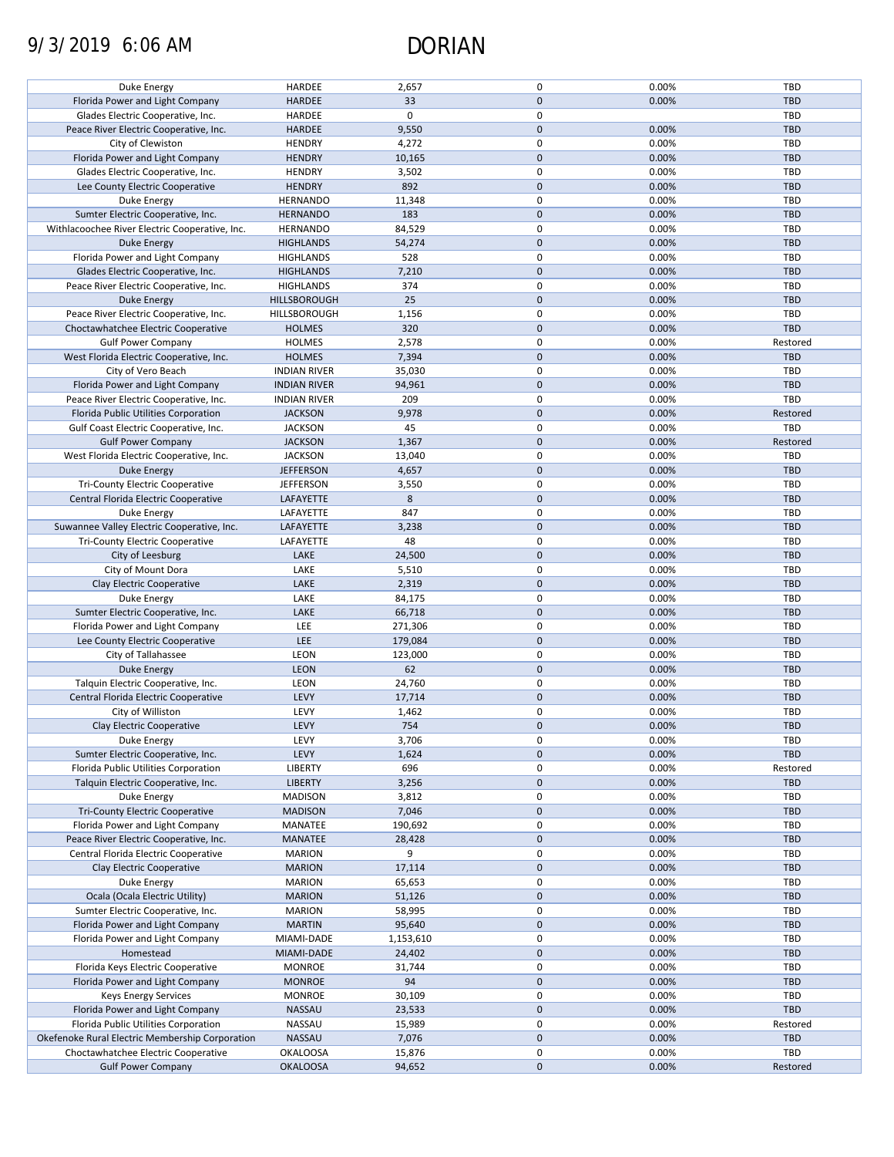# 9/3/2019 6:06 AM DORIAN

| Duke Energy                                     | HARDEE              | 2,657     | 0            | 0.00% | <b>TBD</b> |
|-------------------------------------------------|---------------------|-----------|--------------|-------|------------|
| Florida Power and Light Company                 | <b>HARDEE</b>       | 33        | $\mathbf 0$  | 0.00% | <b>TBD</b> |
| Glades Electric Cooperative, Inc.               | <b>HARDEE</b>       | 0         | 0            |       | <b>TBD</b> |
|                                                 |                     |           |              |       |            |
| Peace River Electric Cooperative, Inc.          | <b>HARDEE</b>       | 9,550     | $\mathbf{0}$ | 0.00% | TBD        |
| City of Clewiston                               | <b>HENDRY</b>       | 4,272     | 0            | 0.00% | <b>TBD</b> |
| Florida Power and Light Company                 | <b>HENDRY</b>       | 10,165    | $\mathbf 0$  | 0.00% | <b>TBD</b> |
| Glades Electric Cooperative, Inc.               | <b>HENDRY</b>       | 3,502     | $\pmb{0}$    | 0.00% | <b>TBD</b> |
| Lee County Electric Cooperative                 | <b>HENDRY</b>       | 892       | $\mathbf 0$  | 0.00% | <b>TBD</b> |
|                                                 |                     |           | 0            |       | <b>TBD</b> |
| Duke Energy                                     | HERNANDO            | 11,348    |              | 0.00% |            |
| Sumter Electric Cooperative, Inc.               | <b>HERNANDO</b>     | 183       | $\mathbf 0$  | 0.00% | <b>TBD</b> |
| Withlacoochee River Electric Cooperative, Inc.  | <b>HERNANDO</b>     | 84,529    | $\pmb{0}$    | 0.00% | <b>TBD</b> |
| <b>Duke Energy</b>                              | <b>HIGHLANDS</b>    | 54,274    | $\mathbf 0$  | 0.00% | <b>TBD</b> |
| Florida Power and Light Company                 | <b>HIGHLANDS</b>    | 528       | 0            | 0.00% | TBD        |
| Glades Electric Cooperative, Inc.               | <b>HIGHLANDS</b>    | 7,210     | $\mathbf 0$  | 0.00% | <b>TBD</b> |
|                                                 |                     |           |              |       |            |
| Peace River Electric Cooperative, Inc.          | <b>HIGHLANDS</b>    | 374       | $\pmb{0}$    | 0.00% | <b>TBD</b> |
| Duke Energy                                     | HILLSBOROUGH        | 25        | $\mathbf 0$  | 0.00% | TBD        |
| Peace River Electric Cooperative, Inc.          | HILLSBOROUGH        | 1,156     | $\pmb{0}$    | 0.00% | <b>TBD</b> |
| Choctawhatchee Electric Cooperative             | <b>HOLMES</b>       | 320       | $\mathbf 0$  | 0.00% | <b>TBD</b> |
| <b>Gulf Power Company</b>                       | <b>HOLMES</b>       | 2,578     | 0            | 0.00% | Restored   |
|                                                 |                     |           | $\mathbf 0$  |       | <b>TBD</b> |
| West Florida Electric Cooperative, Inc.         | <b>HOLMES</b>       | 7,394     |              | 0.00% |            |
| City of Vero Beach                              | <b>INDIAN RIVER</b> | 35,030    | 0            | 0.00% | TBD        |
| Florida Power and Light Company                 | <b>INDIAN RIVER</b> | 94,961    | $\mathbf 0$  | 0.00% | <b>TBD</b> |
| Peace River Electric Cooperative, Inc.          | <b>INDIAN RIVER</b> | 209       | $\pmb{0}$    | 0.00% | TBD        |
| Florida Public Utilities Corporation            | <b>JACKSON</b>      | 9,978     | $\mathbf 0$  | 0.00% | Restored   |
|                                                 |                     |           |              |       |            |
| Gulf Coast Electric Cooperative, Inc.           | <b>JACKSON</b>      | 45        | $\pmb{0}$    | 0.00% | TBD        |
| <b>Gulf Power Company</b>                       | <b>JACKSON</b>      | 1,367     | $\mathbf 0$  | 0.00% | Restored   |
| West Florida Electric Cooperative, Inc.         | <b>JACKSON</b>      | 13,040    | 0            | 0.00% | TBD        |
| Duke Energy                                     | <b>JEFFERSON</b>    | 4,657     | $\mathbf 0$  | 0.00% | <b>TBD</b> |
| <b>Tri-County Electric Cooperative</b>          | <b>JEFFERSON</b>    | 3,550     | $\pmb{0}$    | 0.00% | TBD        |
|                                                 |                     | 8         | $\mathbf 0$  |       | <b>TBD</b> |
| Central Florida Electric Cooperative            | LAFAYETTE           |           |              | 0.00% |            |
| Duke Energy                                     | LAFAYETTE           | 847       | $\pmb{0}$    | 0.00% | <b>TBD</b> |
| Suwannee Valley Electric Cooperative, Inc.      | LAFAYETTE           | 3,238     | $\mathbf 0$  | 0.00% | <b>TBD</b> |
| <b>Tri-County Electric Cooperative</b>          | LAFAYETTE           | 48        | $\pmb{0}$    | 0.00% | <b>TBD</b> |
| City of Leesburg                                | LAKE                | 24,500    | $\mathbf 0$  | 0.00% | <b>TBD</b> |
|                                                 |                     |           | $\mathbf 0$  |       |            |
| City of Mount Dora                              | LAKE                | 5,510     |              | 0.00% | <b>TBD</b> |
| Clay Electric Cooperative                       | LAKE                | 2,319     | $\mathbf{0}$ | 0.00% | <b>TBD</b> |
| Duke Energy                                     | LAKE                | 84,175    | $\mathbf 0$  | 0.00% | <b>TBD</b> |
| Sumter Electric Cooperative, Inc.               | LAKE                | 66,718    | $\mathbf 0$  | 0.00% | <b>TBD</b> |
| Florida Power and Light Company                 | LEE                 | 271,306   | $\mathbf 0$  | 0.00% | <b>TBD</b> |
| Lee County Electric Cooperative                 | LEE                 | 179,084   | $\mathbf 0$  | 0.00% | <b>TBD</b> |
|                                                 |                     |           |              |       |            |
| City of Tallahassee                             | LEON                | 123,000   | $\mathbf 0$  | 0.00% | <b>TBD</b> |
| <b>Duke Energy</b>                              | <b>LEON</b>         | 62        | $\mathbf 0$  | 0.00% | <b>TBD</b> |
| Talquin Electric Cooperative, Inc.              | LEON                | 24,760    | 0            | 0.00% | <b>TBD</b> |
| Central Florida Electric Cooperative            | LEVY                | 17,714    | $\mathbf 0$  | 0.00% | <b>TBD</b> |
| City of Williston                               | LEVY                | 1,462     | 0            | 0.00% | <b>TBD</b> |
|                                                 |                     |           |              |       |            |
| Clay Electric Cooperative                       | LEVY                | 754       | $\mathbf{0}$ | 0.00% | <b>TBD</b> |
| Duke Energy                                     | LEVY                | 3,706     | 0            | 0.00% | <b>TBD</b> |
| Sumter Electric Cooperative, Inc.               | LEVY                | 1,624     | $\mathbf 0$  | 0.00% | TBD        |
| Florida Public Utilities Corporation            | LIBERTY             | 696       | $\pmb{0}$    | 0.00% | Restored   |
| Talquin Electric Cooperative, Inc.              | <b>LIBERTY</b>      | 3,256     | $\mathbf 0$  | 0.00% | <b>TBD</b> |
| Duke Energy                                     | <b>MADISON</b>      | 3,812     | 0            | 0.00% | <b>TBD</b> |
|                                                 |                     |           |              |       |            |
| <b>Tri-County Electric Cooperative</b>          | <b>MADISON</b>      | 7,046     | $\mathbf 0$  | 0.00% | <b>TBD</b> |
| Florida Power and Light Company                 | MANATEE             | 190,692   | 0            | 0.00% | TBD        |
| Peace River Electric Cooperative, Inc.          | MANATEE             | 28,428    | $\mathbf 0$  | 0.00% | <b>TBD</b> |
| Central Florida Electric Cooperative            | <b>MARION</b>       | 9         | 0            | 0.00% | TBD        |
| Clay Electric Cooperative                       | <b>MARION</b>       | 17,114    | $\mathbf 0$  | 0.00% | <b>TBD</b> |
|                                                 |                     |           | $\pmb{0}$    |       | <b>TBD</b> |
| Duke Energy                                     | <b>MARION</b>       | 65,653    |              | 0.00% |            |
| Ocala (Ocala Electric Utility)                  | <b>MARION</b>       | 51,126    | $\pmb{0}$    | 0.00% | <b>TBD</b> |
| Sumter Electric Cooperative, Inc.               | <b>MARION</b>       | 58,995    | 0            | 0.00% | <b>TBD</b> |
| Florida Power and Light Company                 | <b>MARTIN</b>       | 95,640    | $\mathbf 0$  | 0.00% | <b>TBD</b> |
| Florida Power and Light Company                 | MIAMI-DADE          | 1,153,610 | 0            | 0.00% | TBD        |
| Homestead                                       |                     | 24,402    | $\mathbf 0$  | 0.00% | <b>TBD</b> |
|                                                 | MIAMI-DADE          |           |              |       |            |
| Florida Keys Electric Cooperative               | <b>MONROE</b>       | 31,744    | 0            | 0.00% | <b>TBD</b> |
| Florida Power and Light Company                 | <b>MONROE</b>       | 94        | $\mathbf 0$  | 0.00% | <b>TBD</b> |
| <b>Keys Energy Services</b>                     | <b>MONROE</b>       | 30,109    | 0            | 0.00% | TBD        |
| Florida Power and Light Company                 | NASSAU              | 23,533    | $\pmb{0}$    | 0.00% | <b>TBD</b> |
| Florida Public Utilities Corporation            | NASSAU              | 15,989    | 0            | 0.00% | Restored   |
|                                                 |                     |           |              |       |            |
| Okefenoke Rural Electric Membership Corporation | <b>NASSAU</b>       | 7,076     | $\mathbf 0$  | 0.00% | <b>TBD</b> |
| Choctawhatchee Electric Cooperative             | <b>OKALOOSA</b>     | 15,876    | $\pmb{0}$    | 0.00% | TBD        |
| <b>Gulf Power Company</b>                       | <b>OKALOOSA</b>     | 94,652    | $\mathbf 0$  | 0.00% | Restored   |